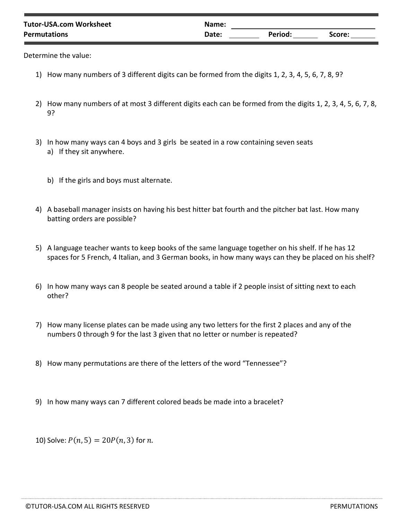| <b>Tutor-USA.com Worksheet</b> | Name: |         |        |
|--------------------------------|-------|---------|--------|
| <b>Permutations</b>            | Date: | Period: | Score: |
|                                |       |         |        |

Determine the value:

- 1) How many numbers of 3 different digits can be formed from the digits 1, 2, 3, 4, 5, 6, 7, 8, 9?
- 2) How many numbers of at most 3 different digits each can be formed from the digits 1, 2, 3, 4, 5, 6, 7, 8, 9?
- 3) In how many ways can 4 boys and 3 girls be seated in a row containing seven seats a) If they sit anywhere.
	- b) If the girls and boys must alternate.
- 4) A baseball manager insists on having his best hitter bat fourth and the pitcher bat last. How many batting orders are possible?
- 5) A language teacher wants to keep books of the same language together on his shelf. If he has 12 spaces for 5 French, 4 Italian, and 3 German books, in how many ways can they be placed on his shelf?
- 6) In how many ways can 8 people be seated around a table if 2 people insist of sitting next to each other?
- 7) How many license plates can be made using any two letters for the first 2 places and any of the numbers 0 through 9 for the last 3 given that no letter or number is repeated?
- 8) How many permutations are there of the letters of the word "Tennessee"?
- 9) In how many ways can 7 different colored beads be made into a bracelet?

10) Solve:  $P(n, 5) = 20P(n, 3)$  for *n*.